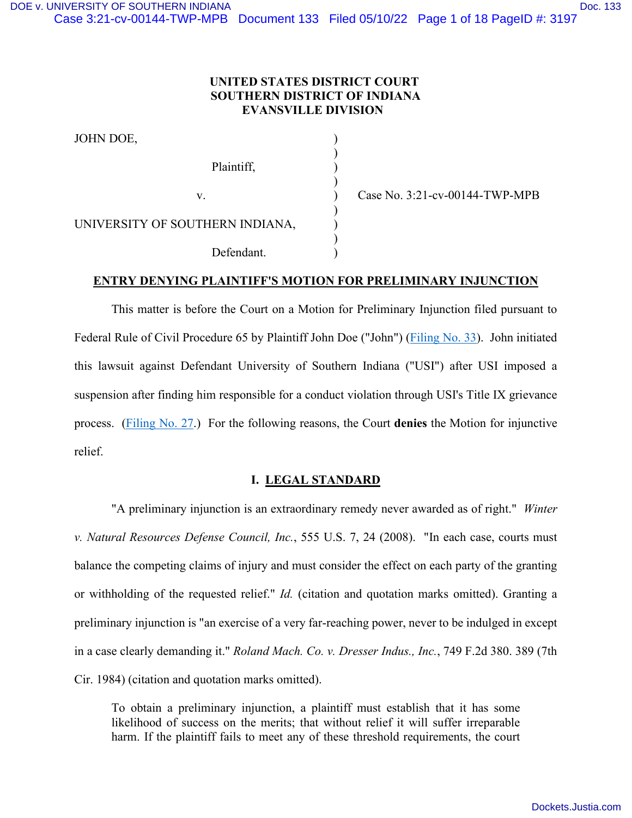# **UNITED STATES DISTRICT COURT SOUTHERN DISTRICT OF INDIANA EVANSVILLE DIVISION**

| JOHN DOE,                       |  |
|---------------------------------|--|
| Plaintiff,                      |  |
| $V_{\cdot}$                     |  |
| UNIVERSITY OF SOUTHERN INDIANA, |  |
| Defendant.                      |  |

Case No. 3:21-cv-00144-TWP-MPB

# **ENTRY DENYING PLAINTIFF'S MOTION FOR PRELIMINARY INJUNCTION**

This matter is before the Court on a Motion for Preliminary Injunction filed pursuant to Federal Rule of Civil Procedure 65 by Plaintiff John Doe ("John") (*Filing No. 33*). John initiated this lawsuit against Defendant University of Southern Indiana ("USI") after USI imposed a suspension after finding him responsible for a conduct violation through USI's Title IX grievance process. [\(Filing No. 27.](https://ecf.insd.uscourts.gov/doc1/07318927575)) For the following reasons, the Court **denies** the Motion for injunctive relief.

## **I. LEGAL STANDARD**

"A preliminary injunction is an extraordinary remedy never awarded as of right." *Winter v. Natural Resources Defense Council, Inc.*, 555 U.S. 7, 24 (2008). "In each case, courts must balance the competing claims of injury and must consider the effect on each party of the granting or withholding of the requested relief." *Id.* (citation and quotation marks omitted). Granting a preliminary injunction is "an exercise of a very far-reaching power, never to be indulged in except in a case clearly demanding it." *Roland Mach. Co. v. Dresser Indus., Inc.*, 749 F.2d 380. 389 (7th Cir. 1984) (citation and quotation marks omitted).

To obtain a preliminary injunction, a plaintiff must establish that it has some likelihood of success on the merits; that without relief it will suffer irreparable harm. If the plaintiff fails to meet any of these threshold requirements, the court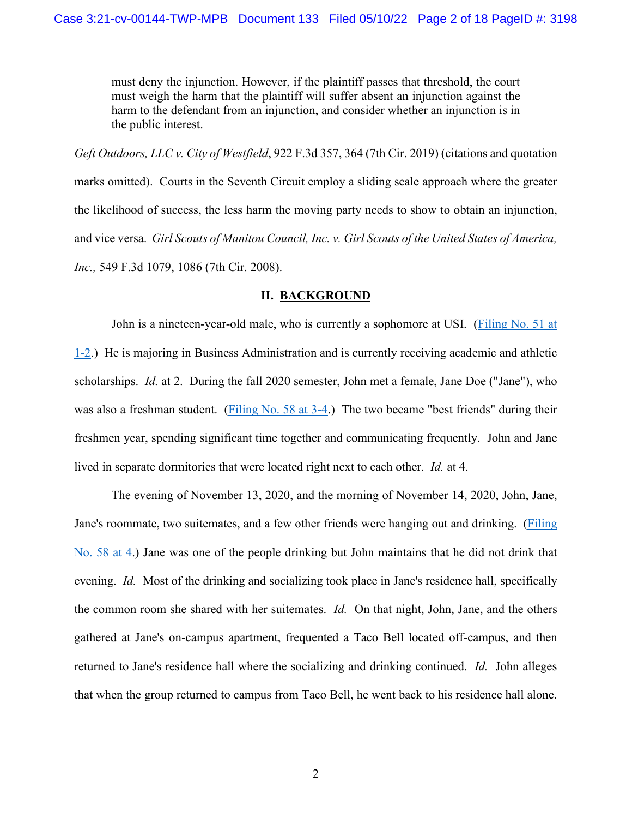must deny the injunction. However, if the plaintiff passes that threshold, the court must weigh the harm that the plaintiff will suffer absent an injunction against the harm to the defendant from an injunction, and consider whether an injunction is in the public interest.

*Geft Outdoors, LLC v. City of Westfield*, 922 F.3d 357, 364 (7th Cir. 2019) (citations and quotation marks omitted). Courts in the Seventh Circuit employ a sliding scale approach where the greater the likelihood of success, the less harm the moving party needs to show to obtain an injunction, and vice versa. *Girl Scouts of Manitou Council, Inc. v. Girl Scouts of the United States of America, Inc.,* 549 F.3d 1079, 1086 (7th Cir. 2008).

### **II. BACKGROUND**

John is a nineteen-year-old male, who is currently a sophomore at USI. [\(Filing No. 51 at](https://ecf.insd.uscourts.gov/doc1/07318932808?page=1)  [1-2.](https://ecf.insd.uscourts.gov/doc1/07318932808?page=1)) He is majoring in Business Administration and is currently receiving academic and athletic scholarships. *Id.* at 2. During the fall 2020 semester, John met a female, Jane Doe ("Jane"), who was also a freshman student. [\(Filing No. 58 at 3-4.](https://ecf.insd.uscourts.gov/doc1/07318956991?page=3)) The two became "best friends" during their freshmen year, spending significant time together and communicating frequently. John and Jane lived in separate dormitories that were located right next to each other. *Id.* at 4.

The evening of November 13, 2020, and the morning of November 14, 2020, John, Jane, Jane's roommate, two suitemates, and a few other friends were hanging out and drinking. [\(Filing](https://ecf.insd.uscourts.gov/doc1/07318956991?page=4)  [No. 58 at 4.](https://ecf.insd.uscourts.gov/doc1/07318956991?page=4)) Jane was one of the people drinking but John maintains that he did not drink that evening. *Id.* Most of the drinking and socializing took place in Jane's residence hall, specifically the common room she shared with her suitemates. *Id.* On that night, John, Jane, and the others gathered at Jane's on-campus apartment, frequented a Taco Bell located off-campus, and then returned to Jane's residence hall where the socializing and drinking continued. *Id.* John alleges that when the group returned to campus from Taco Bell, he went back to his residence hall alone.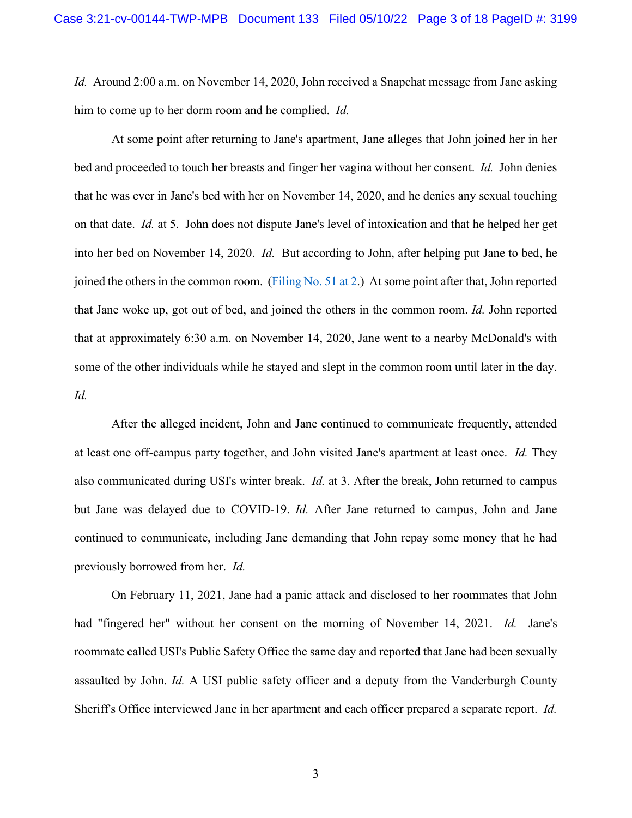*Id.* Around 2:00 a.m. on November 14, 2020, John received a Snapchat message from Jane asking him to come up to her dorm room and he complied. *Id.*

At some point after returning to Jane's apartment, Jane alleges that John joined her in her bed and proceeded to touch her breasts and finger her vagina without her consent. *Id.* John denies that he was ever in Jane's bed with her on November 14, 2020, and he denies any sexual touching on that date. *Id.* at 5. John does not dispute Jane's level of intoxication and that he helped her get into her bed on November 14, 2020. *Id.* But according to John, after helping put Jane to bed, he joined the others in the common room. (Filing No.  $51$  at 2.) At some point after that, John reported that Jane woke up, got out of bed, and joined the others in the common room. *Id.* John reported that at approximately 6:30 a.m. on November 14, 2020, Jane went to a nearby McDonald's with some of the other individuals while he stayed and slept in the common room until later in the day. *Id.*

After the alleged incident, John and Jane continued to communicate frequently, attended at least one off-campus party together, and John visited Jane's apartment at least once. *Id.* They also communicated during USI's winter break. *Id.* at 3. After the break, John returned to campus but Jane was delayed due to COVID-19. *Id.* After Jane returned to campus, John and Jane continued to communicate, including Jane demanding that John repay some money that he had previously borrowed from her. *Id.*

On February 11, 2021, Jane had a panic attack and disclosed to her roommates that John had "fingered her" without her consent on the morning of November 14, 2021. *Id.* Jane's roommate called USI's Public Safety Office the same day and reported that Jane had been sexually assaulted by John. *Id.* A USI public safety officer and a deputy from the Vanderburgh County Sheriff's Office interviewed Jane in her apartment and each officer prepared a separate report. *Id.*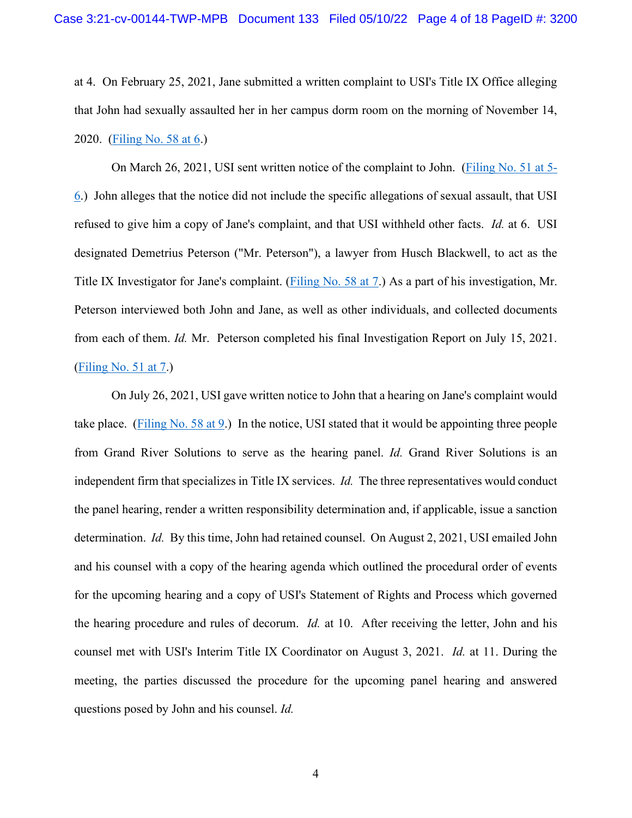at 4. On February 25, 2021, Jane submitted a written complaint to USI's Title IX Office alleging that John had sexually assaulted her in her campus dorm room on the morning of November 14, 2020. [\(Filing No. 58 at 6.](https://ecf.insd.uscourts.gov/doc1/07318956991?page=6))

 On March 26, 2021, USI sent written notice of the complaint to John. [\(Filing No. 51 at 5-](https://ecf.insd.uscourts.gov/doc1/07318932808?page=5) [6.](https://ecf.insd.uscourts.gov/doc1/07318932808?page=5)) John alleges that the notice did not include the specific allegations of sexual assault, that USI refused to give him a copy of Jane's complaint, and that USI withheld other facts. *Id.* at 6. USI designated Demetrius Peterson ("Mr. Peterson"), a lawyer from Husch Blackwell, to act as the Title IX Investigator for Jane's complaint. [\(Filing No. 58 at 7.](https://ecf.insd.uscourts.gov/doc1/07318956991?page=7)) As a part of his investigation, Mr. Peterson interviewed both John and Jane, as well as other individuals, and collected documents from each of them. *Id.* Mr. Peterson completed his final Investigation Report on July 15, 2021. [\(Filing No. 51 at 7.](https://ecf.insd.uscourts.gov/doc1/07318932808?page=7))

On July 26, 2021, USI gave written notice to John that a hearing on Jane's complaint would take place. [\(Filing No. 58 at 9.](https://ecf.insd.uscourts.gov/doc1/07318956991?page=9)) In the notice, USI stated that it would be appointing three people from Grand River Solutions to serve as the hearing panel. *Id.* Grand River Solutions is an independent firm that specializes in Title IX services. *Id.* The three representatives would conduct the panel hearing, render a written responsibility determination and, if applicable, issue a sanction determination. *Id.* By this time, John had retained counsel. On August 2, 2021, USI emailed John and his counsel with a copy of the hearing agenda which outlined the procedural order of events for the upcoming hearing and a copy of USI's Statement of Rights and Process which governed the hearing procedure and rules of decorum. *Id.* at 10. After receiving the letter, John and his counsel met with USI's Interim Title IX Coordinator on August 3, 2021. *Id.* at 11. During the meeting, the parties discussed the procedure for the upcoming panel hearing and answered questions posed by John and his counsel. *Id.*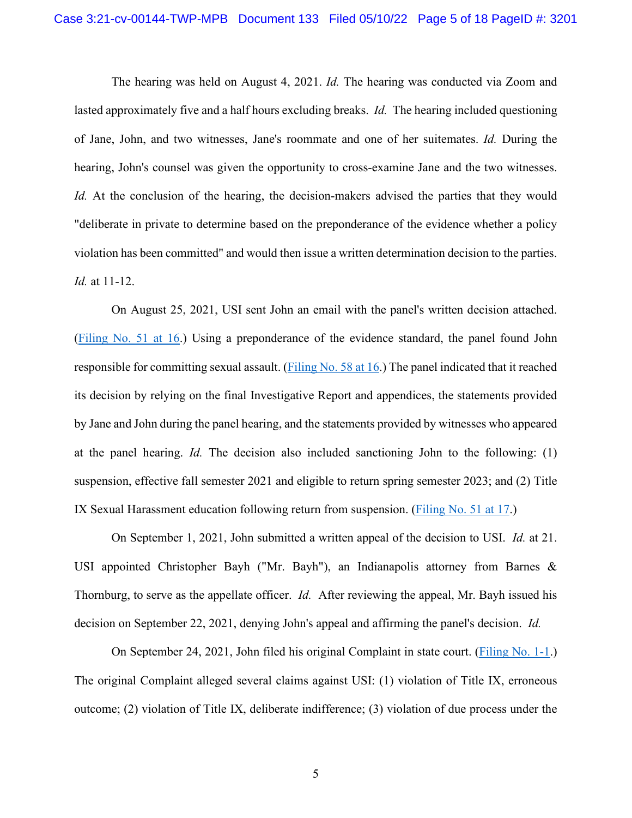The hearing was held on August 4, 2021. *Id.* The hearing was conducted via Zoom and lasted approximately five and a half hours excluding breaks. *Id.* The hearing included questioning of Jane, John, and two witnesses, Jane's roommate and one of her suitemates. *Id.* During the hearing, John's counsel was given the opportunity to cross-examine Jane and the two witnesses. *Id.* At the conclusion of the hearing, the decision-makers advised the parties that they would "deliberate in private to determine based on the preponderance of the evidence whether a policy violation has been committed" and would then issue a written determination decision to the parties. *Id.* at 11-12.

On August 25, 2021, USI sent John an email with the panel's written decision attached. [\(Filing No. 51 at 16.](https://ecf.insd.uscourts.gov/doc1/07318932808?page=16)) Using a preponderance of the evidence standard, the panel found John responsible for committing sexual assault. [\(Filing No. 58 at 16.](https://ecf.insd.uscourts.gov/doc1/07318956991?page=16)) The panel indicated that it reached its decision by relying on the final Investigative Report and appendices, the statements provided by Jane and John during the panel hearing, and the statements provided by witnesses who appeared at the panel hearing. *Id.* The decision also included sanctioning John to the following: (1) suspension, effective fall semester 2021 and eligible to return spring semester 2023; and (2) Title IX Sexual Harassment education following return from suspension. [\(Filing No. 51 at 17.](https://ecf.insd.uscourts.gov/doc1/07318932808?page=17))

On September 1, 2021, John submitted a written appeal of the decision to USI. *Id.* at 21. USI appointed Christopher Bayh ("Mr. Bayh"), an Indianapolis attorney from Barnes & Thornburg, to serve as the appellate officer. *Id.* After reviewing the appeal, Mr. Bayh issued his decision on September 22, 2021, denying John's appeal and affirming the panel's decision. *Id.*

On September 24, 2021, John filed his original Complaint in state court. [\(Filing No. 1-1.](https://ecf.insd.uscourts.gov/doc1/07318895900)) The original Complaint alleged several claims against USI: (1) violation of Title IX, erroneous outcome; (2) violation of Title IX, deliberate indifference; (3) violation of due process under the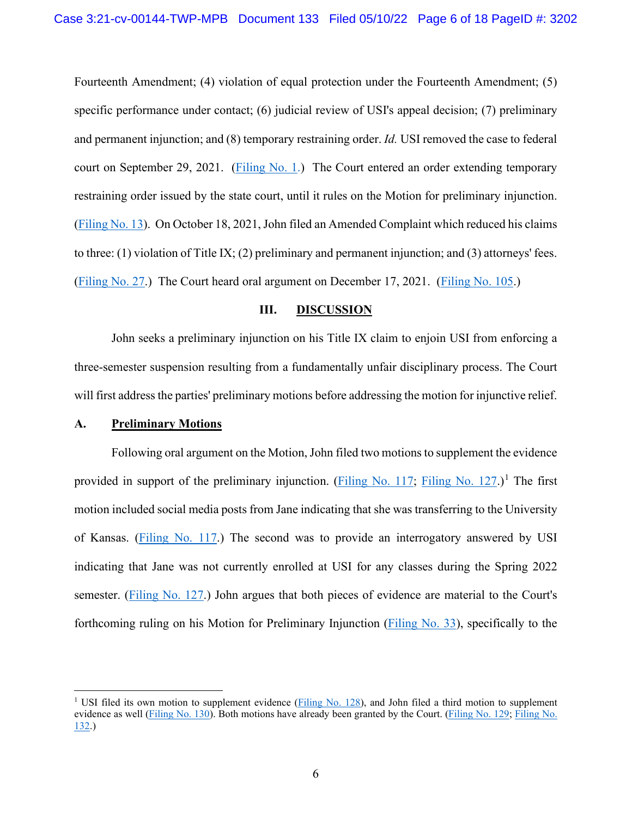Fourteenth Amendment; (4) violation of equal protection under the Fourteenth Amendment; (5) specific performance under contact; (6) judicial review of USI's appeal decision; (7) preliminary and permanent injunction; and (8) temporary restraining order. *Id.* USI removed the case to federal court on September 29, 2021. [\(Filing No. 1.](https://ecf.insd.uscourts.gov/doc1/07318895899)) The Court entered an order extending temporary restraining order issued by the state court, until it rules on the Motion for preliminary injunction. [\(Filing No. 13\)](https://ecf.insd.uscourts.gov/doc1/07318904246). On October 18, 2021, John filed an Amended Complaint which reduced his claims to three: (1) violation of Title IX; (2) preliminary and permanent injunction; and (3) attorneys' fees. [\(Filing No. 27.](https://ecf.insd.uscourts.gov/doc1/07318927575)) The Court heard oral argument on December 17, 2021. [\(Filing No. 105.](https://ecf.insd.uscourts.gov/doc1/07319032390))

## **III. DISCUSSION**

John seeks a preliminary injunction on his Title IX claim to enjoin USI from enforcing a three-semester suspension resulting from a fundamentally unfair disciplinary process. The Court will first address the parties' preliminary motions before addressing the motion for injunctive relief.

#### **A. Preliminary Motions**

Following oral argument on the Motion, John filed two motions to supplement the evidence provided in support of the preliminary injunction. [\(Filing No. 117;](https://ecf.insd.uscourts.gov/doc1/07319076466) [Filing No. 127.](https://ecf.insd.uscourts.gov/doc1/07319100317))<sup>[1](#page-5-0)</sup> The first motion included social media posts from Jane indicating that she was transferring to the University of Kansas. [\(Filing No. 117.](https://ecf.insd.uscourts.gov/doc1/07319076466)) The second was to provide an interrogatory answered by USI indicating that Jane was not currently enrolled at USI for any classes during the Spring 2022 semester. [\(Filing No. 127.](https://ecf.insd.uscourts.gov/doc1/07319100317)) John argues that both pieces of evidence are material to the Court's forthcoming ruling on his Motion for Preliminary Injunction [\(Filing No. 33\)](https://ecf.insd.uscourts.gov/doc1/07318932419), specifically to the

<span id="page-5-0"></span><sup>&</sup>lt;sup>1</sup> USI filed its own motion to supplement evidence [\(Filing No. 128\)](https://ecf.insd.uscourts.gov/doc1/07319102532), and John filed a third motion to supplement evidence as well [\(Filing No. 130\)](https://ecf.insd.uscourts.gov/doc1/07319118286). Both motions have already been granted by the Court. [\(Filing No. 129;](https://ecf.insd.uscourts.gov/doc1/07319103534) [Filing No.](https://ecf.insd.uscourts.gov/doc1/07319125388)  [132.](https://ecf.insd.uscourts.gov/doc1/07319125388))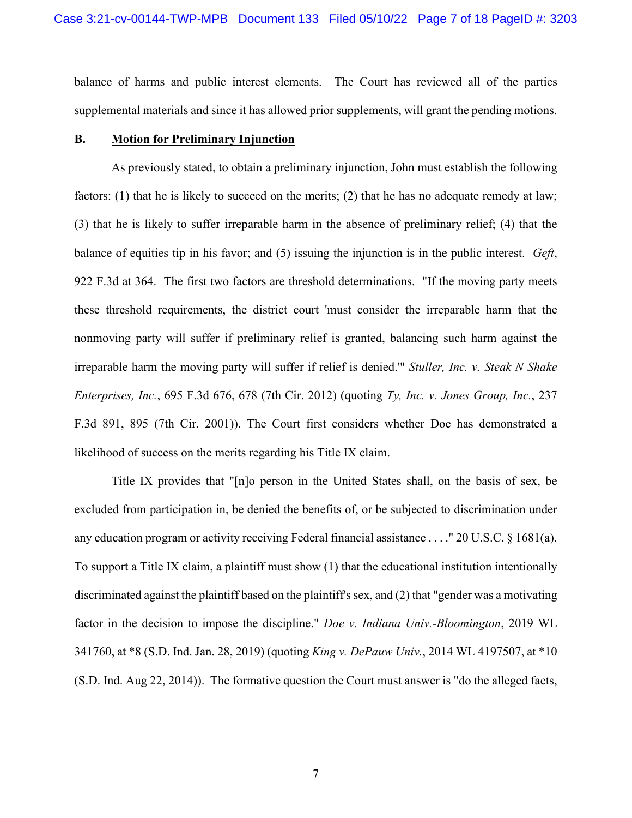balance of harms and public interest elements. The Court has reviewed all of the parties supplemental materials and since it has allowed prior supplements, will grant the pending motions.

## **B. Motion for Preliminary Injunction**

 As previously stated, to obtain a preliminary injunction, John must establish the following factors: (1) that he is likely to succeed on the merits; (2) that he has no adequate remedy at law; (3) that he is likely to suffer irreparable harm in the absence of preliminary relief; (4) that the balance of equities tip in his favor; and (5) issuing the injunction is in the public interest. *Geft*, 922 F.3d at 364. The first two factors are threshold determinations. "If the moving party meets these threshold requirements, the district court 'must consider the irreparable harm that the nonmoving party will suffer if preliminary relief is granted, balancing such harm against the irreparable harm the moving party will suffer if relief is denied.'" *Stuller, Inc. v. Steak N Shake Enterprises, Inc.*, 695 F.3d 676, 678 (7th Cir. 2012) (quoting *Ty, Inc. v. Jones Group, Inc.*, 237 F.3d 891, 895 (7th Cir. 2001)). The Court first considers whether Doe has demonstrated a likelihood of success on the merits regarding his Title IX claim.

Title IX provides that "[n]o person in the United States shall, on the basis of sex, be excluded from participation in, be denied the benefits of, or be subjected to discrimination under any education program or activity receiving Federal financial assistance . . . ." 20 U.S.C. § 1681(a). To support a Title IX claim, a plaintiff must show (1) that the educational institution intentionally discriminated against the plaintiff based on the plaintiff's sex, and (2) that "gender was a motivating factor in the decision to impose the discipline." *Doe v. Indiana Univ.-Bloomington*, 2019 WL 341760, at \*8 (S.D. Ind. Jan. 28, 2019) (quoting *King v. DePauw Univ.*, 2014 WL 4197507, at \*10 (S.D. Ind. Aug 22, 2014)). The formative question the Court must answer is "do the alleged facts,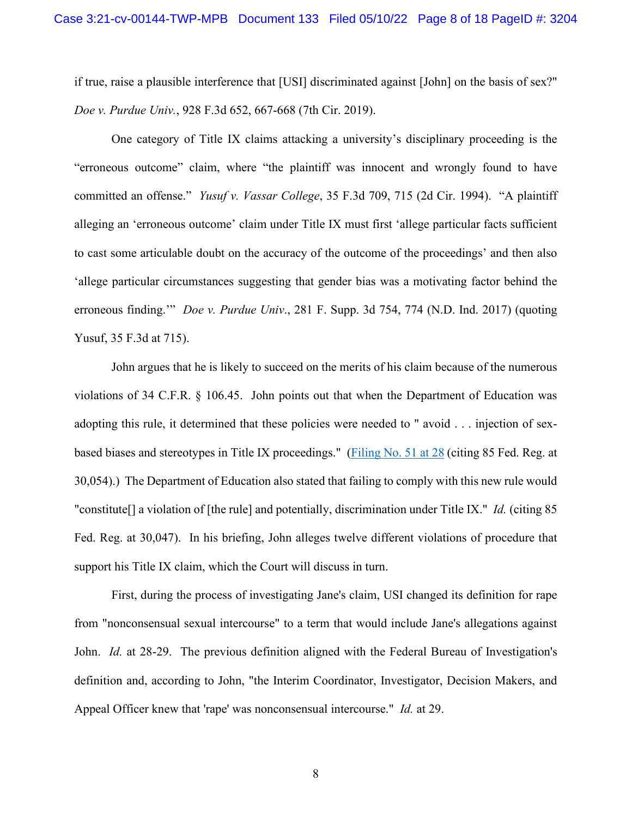if true, raise a plausible interference that [USI] discriminated against [John] on the basis of sex?" *Doe v. Purdue Univ.*, 928 F.3d 652, 667-668 (7th Cir. 2019).

One category of Title IX claims attacking a university's disciplinary proceeding is the "erroneous outcome" claim, where "the plaintiff was innocent and wrongly found to have committed an offense." *Yusuf v. Vassar College*, 35 F.3d 709, 715 (2d Cir. 1994). "A plaintiff alleging an 'erroneous outcome' claim under Title IX must first 'allege particular facts sufficient to cast some articulable doubt on the accuracy of the outcome of the proceedings' and then also 'allege particular circumstances suggesting that gender bias was a motivating factor behind the erroneous finding.'" *Doe v. Purdue Univ*., 281 F. Supp. 3d 754, 774 (N.D. Ind. 2017) (quoting Yusuf, 35 F.3d at 715).

John argues that he is likely to succeed on the merits of his claim because of the numerous violations of 34 C.F.R. § 106.45. John points out that when the Department of Education was adopting this rule, it determined that these policies were needed to " avoid . . . injection of sex-based biases and stereotypes in Title IX proceedings." [\(Filing No. 51 at 28](https://ecf.insd.uscourts.gov/doc1/07318932808?page=28) (citing 85 Fed. Reg. at 30,054).) The Department of Education also stated that failing to comply with this new rule would "constitute[] a violation of [the rule] and potentially, discrimination under Title IX." *Id.* (citing 85 Fed. Reg. at 30,047). In his briefing, John alleges twelve different violations of procedure that support his Title IX claim, which the Court will discuss in turn.

First, during the process of investigating Jane's claim, USI changed its definition for rape from "nonconsensual sexual intercourse" to a term that would include Jane's allegations against John. *Id.* at 28-29. The previous definition aligned with the Federal Bureau of Investigation's definition and, according to John, "the Interim Coordinator, Investigator, Decision Makers, and Appeal Officer knew that 'rape' was nonconsensual intercourse." *Id.* at 29.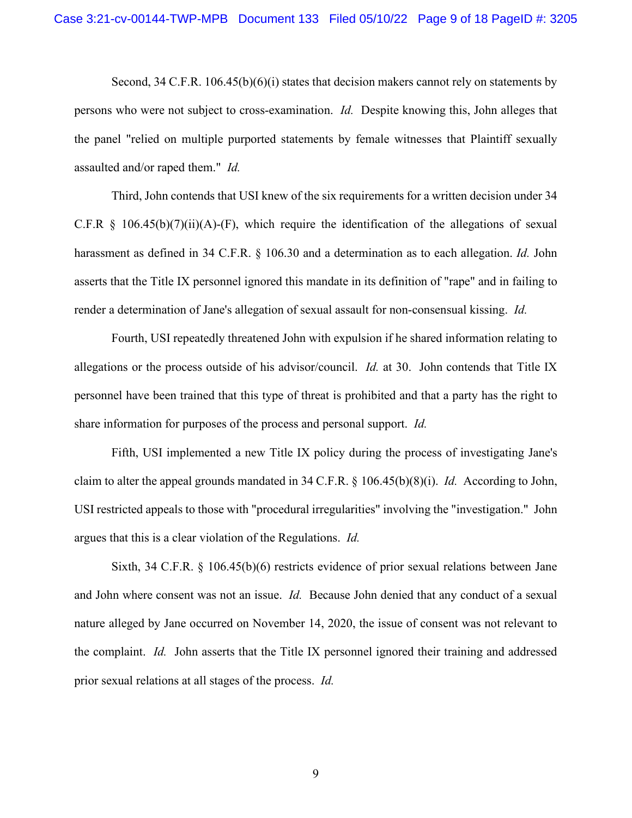Second, 34 C.F.R. 106.45(b)(6)(i) states that decision makers cannot rely on statements by persons who were not subject to cross-examination. *Id.* Despite knowing this, John alleges that the panel "relied on multiple purported statements by female witnesses that Plaintiff sexually assaulted and/or raped them." *Id.*

Third, John contends that USI knew of the six requirements for a written decision under 34 C.F.R  $\S$  106.45(b)(7)(ii)(A)-(F), which require the identification of the allegations of sexual harassment as defined in 34 C.F.R. § 106.30 and a determination as to each allegation. *Id.* John asserts that the Title IX personnel ignored this mandate in its definition of "rape" and in failing to render a determination of Jane's allegation of sexual assault for non-consensual kissing. *Id.*

Fourth, USI repeatedly threatened John with expulsion if he shared information relating to allegations or the process outside of his advisor/council. *Id.* at 30. John contends that Title IX personnel have been trained that this type of threat is prohibited and that a party has the right to share information for purposes of the process and personal support. *Id.*

Fifth, USI implemented a new Title IX policy during the process of investigating Jane's claim to alter the appeal grounds mandated in 34 C.F.R. § 106.45(b)(8)(i). *Id.* According to John, USI restricted appeals to those with "procedural irregularities" involving the "investigation." John argues that this is a clear violation of the Regulations. *Id.*

Sixth, 34 C.F.R. § 106.45(b)(6) restricts evidence of prior sexual relations between Jane and John where consent was not an issue. *Id.* Because John denied that any conduct of a sexual nature alleged by Jane occurred on November 14, 2020, the issue of consent was not relevant to the complaint. *Id.* John asserts that the Title IX personnel ignored their training and addressed prior sexual relations at all stages of the process. *Id.*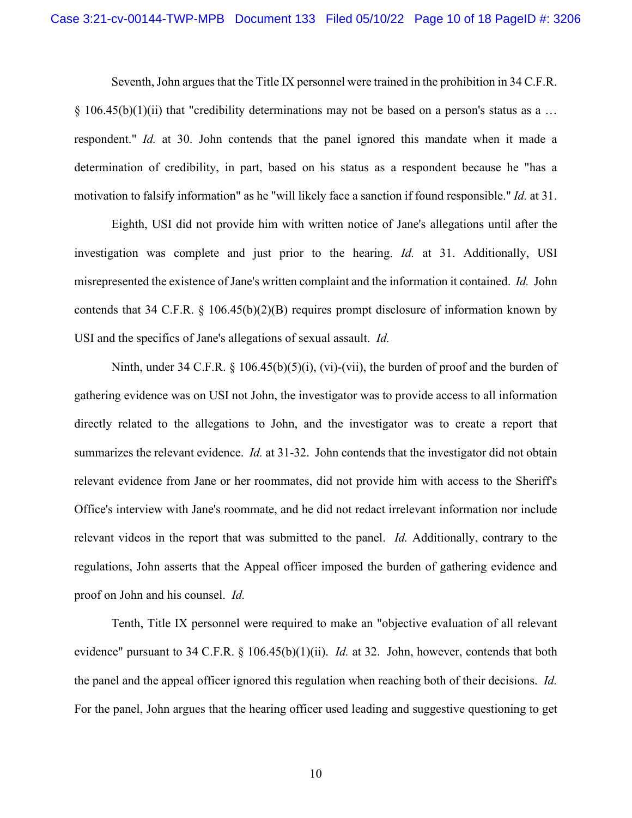Seventh, John argues that the Title IX personnel were trained in the prohibition in 34 C.F.R.  $\S$  106.45(b)(1)(ii) that "credibility determinations may not be based on a person's status as a ... respondent." *Id.* at 30. John contends that the panel ignored this mandate when it made a determination of credibility, in part, based on his status as a respondent because he "has a motivation to falsify information" as he "will likely face a sanction if found responsible." *Id.* at 31.

Eighth, USI did not provide him with written notice of Jane's allegations until after the investigation was complete and just prior to the hearing. *Id.* at 31. Additionally, USI misrepresented the existence of Jane's written complaint and the information it contained. *Id.* John contends that 34 C.F.R. § 106.45(b)(2)(B) requires prompt disclosure of information known by USI and the specifics of Jane's allegations of sexual assault. *Id.*

Ninth, under 34 C.F.R.  $\S$  106.45(b)(5)(i), (vi)-(vii), the burden of proof and the burden of gathering evidence was on USI not John, the investigator was to provide access to all information directly related to the allegations to John, and the investigator was to create a report that summarizes the relevant evidence. *Id.* at 31-32. John contends that the investigator did not obtain relevant evidence from Jane or her roommates, did not provide him with access to the Sheriff's Office's interview with Jane's roommate, and he did not redact irrelevant information nor include relevant videos in the report that was submitted to the panel. *Id.* Additionally, contrary to the regulations, John asserts that the Appeal officer imposed the burden of gathering evidence and proof on John and his counsel. *Id.*

Tenth, Title IX personnel were required to make an "objective evaluation of all relevant evidence" pursuant to 34 C.F.R. § 106.45(b)(1)(ii). *Id.* at 32. John, however, contends that both the panel and the appeal officer ignored this regulation when reaching both of their decisions. *Id.* For the panel, John argues that the hearing officer used leading and suggestive questioning to get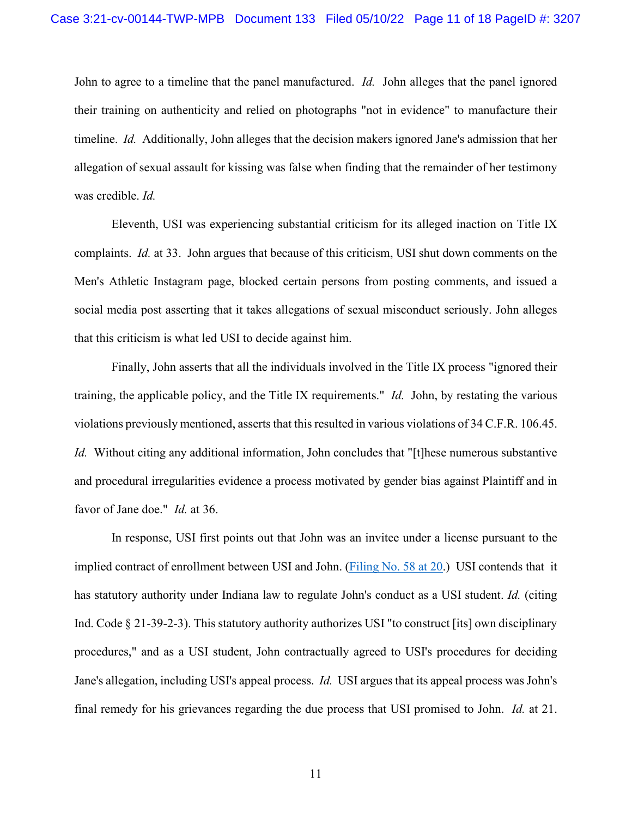John to agree to a timeline that the panel manufactured. *Id.* John alleges that the panel ignored their training on authenticity and relied on photographs "not in evidence" to manufacture their timeline. *Id.* Additionally, John alleges that the decision makers ignored Jane's admission that her allegation of sexual assault for kissing was false when finding that the remainder of her testimony was credible. *Id.*

Eleventh, USI was experiencing substantial criticism for its alleged inaction on Title IX complaints. *Id.* at 33. John argues that because of this criticism, USI shut down comments on the Men's Athletic Instagram page, blocked certain persons from posting comments, and issued a social media post asserting that it takes allegations of sexual misconduct seriously. John alleges that this criticism is what led USI to decide against him.

Finally, John asserts that all the individuals involved in the Title IX process "ignored their training, the applicable policy, and the Title IX requirements." *Id.* John, by restating the various violations previously mentioned, asserts that this resulted in various violations of 34 C.F.R. 106.45. *Id.* Without citing any additional information, John concludes that "[t]hese numerous substantive and procedural irregularities evidence a process motivated by gender bias against Plaintiff and in favor of Jane doe." *Id.* at 36.

In response, USI first points out that John was an invitee under a license pursuant to the implied contract of enrollment between USI and John. [\(Filing No. 58 at 20.](https://ecf.insd.uscourts.gov/doc1/07318956991?page=20)) USI contends that it has statutory authority under Indiana law to regulate John's conduct as a USI student. *Id.* (citing Ind. Code § 21-39-2-3). This statutory authority authorizes USI "to construct [its] own disciplinary procedures," and as a USI student, John contractually agreed to USI's procedures for deciding Jane's allegation, including USI's appeal process. *Id.* USI argues that its appeal process was John's final remedy for his grievances regarding the due process that USI promised to John. *Id.* at 21.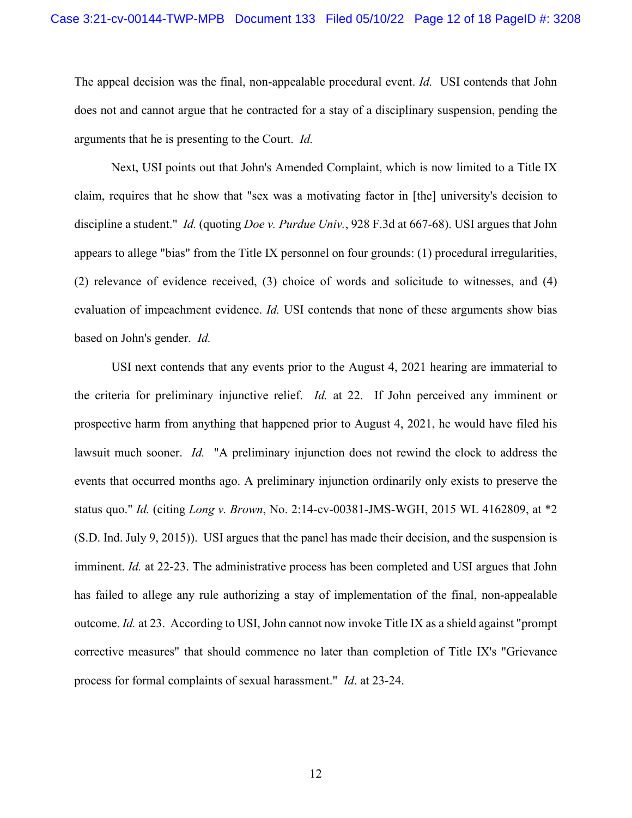The appeal decision was the final, non-appealable procedural event. *Id.* USI contends that John does not and cannot argue that he contracted for a stay of a disciplinary suspension, pending the arguments that he is presenting to the Court. *Id.*

Next, USI points out that John's Amended Complaint, which is now limited to a Title IX claim, requires that he show that "sex was a motivating factor in [the] university's decision to discipline a student." *Id.* (quoting *Doe v. Purdue Univ.*, 928 F.3d at 667-68). USI argues that John appears to allege "bias" from the Title IX personnel on four grounds: (1) procedural irregularities, (2) relevance of evidence received, (3) choice of words and solicitude to witnesses, and (4) evaluation of impeachment evidence. *Id.* USI contends that none of these arguments show bias based on John's gender. *Id.*

USI next contends that any events prior to the August 4, 2021 hearing are immaterial to the criteria for preliminary injunctive relief. *Id.* at 22. If John perceived any imminent or prospective harm from anything that happened prior to August 4, 2021, he would have filed his lawsuit much sooner. *Id.* "A preliminary injunction does not rewind the clock to address the events that occurred months ago. A preliminary injunction ordinarily only exists to preserve the status quo." *Id.* (citing *Long v. Brown*, No. 2:14-cv-00381-JMS-WGH, 2015 WL 4162809, at \*2 (S.D. Ind. July 9, 2015)). USI argues that the panel has made their decision, and the suspension is imminent. *Id.* at 22-23. The administrative process has been completed and USI argues that John has failed to allege any rule authorizing a stay of implementation of the final, non-appealable outcome. *Id.* at 23. According to USI, John cannot now invoke Title IX as a shield against "prompt corrective measures" that should commence no later than completion of Title IX's "Grievance process for formal complaints of sexual harassment." *Id*. at 23-24.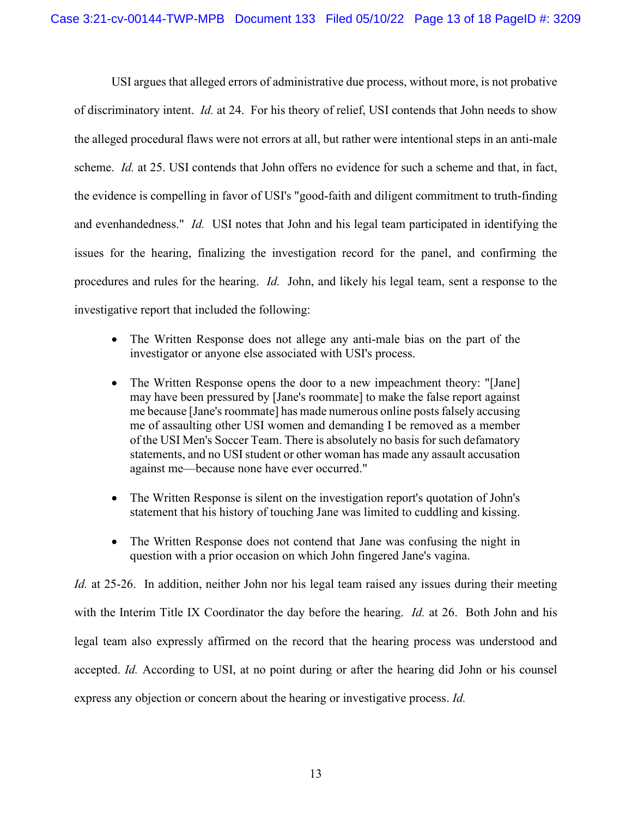USI argues that alleged errors of administrative due process, without more, is not probative of discriminatory intent. *Id.* at 24. For his theory of relief, USI contends that John needs to show the alleged procedural flaws were not errors at all, but rather were intentional steps in an anti-male scheme. *Id.* at 25. USI contends that John offers no evidence for such a scheme and that, in fact, the evidence is compelling in favor of USI's "good-faith and diligent commitment to truth-finding and evenhandedness." *Id.* USI notes that John and his legal team participated in identifying the issues for the hearing, finalizing the investigation record for the panel, and confirming the procedures and rules for the hearing. *Id.* John, and likely his legal team, sent a response to the investigative report that included the following:

- The Written Response does not allege any anti-male bias on the part of the investigator or anyone else associated with USI's process.
- The Written Response opens the door to a new impeachment theory: "[Jane] may have been pressured by [Jane's roommate] to make the false report against me because [Jane's roommate] has made numerous online posts falsely accusing me of assaulting other USI women and demanding I be removed as a member of the USI Men's Soccer Team. There is absolutely no basis for such defamatory statements, and no USI student or other woman has made any assault accusation against me—because none have ever occurred."
- The Written Response is silent on the investigation report's quotation of John's statement that his history of touching Jane was limited to cuddling and kissing.
- The Written Response does not contend that Jane was confusing the night in question with a prior occasion on which John fingered Jane's vagina.

*Id.* at 25-26. In addition, neither John nor his legal team raised any issues during their meeting with the Interim Title IX Coordinator the day before the hearing. *Id.* at 26. Both John and his legal team also expressly affirmed on the record that the hearing process was understood and accepted. *Id.* According to USI, at no point during or after the hearing did John or his counsel express any objection or concern about the hearing or investigative process. *Id.*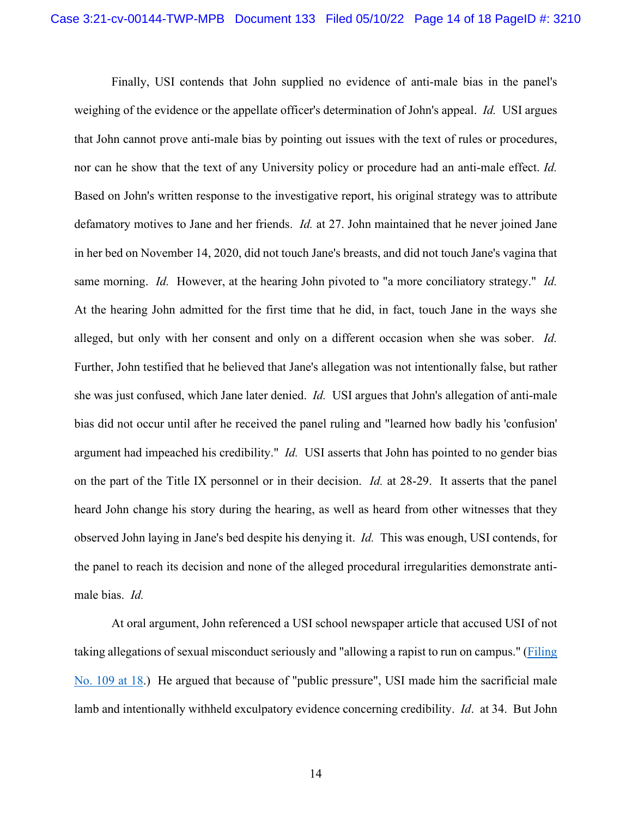Finally, USI contends that John supplied no evidence of anti-male bias in the panel's weighing of the evidence or the appellate officer's determination of John's appeal. *Id.* USI argues that John cannot prove anti-male bias by pointing out issues with the text of rules or procedures, nor can he show that the text of any University policy or procedure had an anti-male effect. *Id.* Based on John's written response to the investigative report, his original strategy was to attribute defamatory motives to Jane and her friends. *Id.* at 27. John maintained that he never joined Jane in her bed on November 14, 2020, did not touch Jane's breasts, and did not touch Jane's vagina that same morning. *Id.* However, at the hearing John pivoted to "a more conciliatory strategy." *Id.* At the hearing John admitted for the first time that he did, in fact, touch Jane in the ways she alleged, but only with her consent and only on a different occasion when she was sober. *Id.* Further, John testified that he believed that Jane's allegation was not intentionally false, but rather she was just confused, which Jane later denied. *Id.* USI argues that John's allegation of anti-male bias did not occur until after he received the panel ruling and "learned how badly his 'confusion' argument had impeached his credibility." *Id.* USI asserts that John has pointed to no gender bias on the part of the Title IX personnel or in their decision. *Id.* at 28-29. It asserts that the panel heard John change his story during the hearing, as well as heard from other witnesses that they observed John laying in Jane's bed despite his denying it. *Id.* This was enough, USI contends, for the panel to reach its decision and none of the alleged procedural irregularities demonstrate antimale bias. *Id.*

At oral argument, John referenced a USI school newspaper article that accused USI of not taking allegations of sexual misconduct seriously and "allowing a rapist to run on campus." [\(Filing](https://ecf.insd.uscourts.gov/doc1/07319042774?page=18)  [No. 109 at 18.](https://ecf.insd.uscourts.gov/doc1/07319042774?page=18)) He argued that because of "public pressure", USI made him the sacrificial male lamb and intentionally withheld exculpatory evidence concerning credibility. *Id*. at 34. But John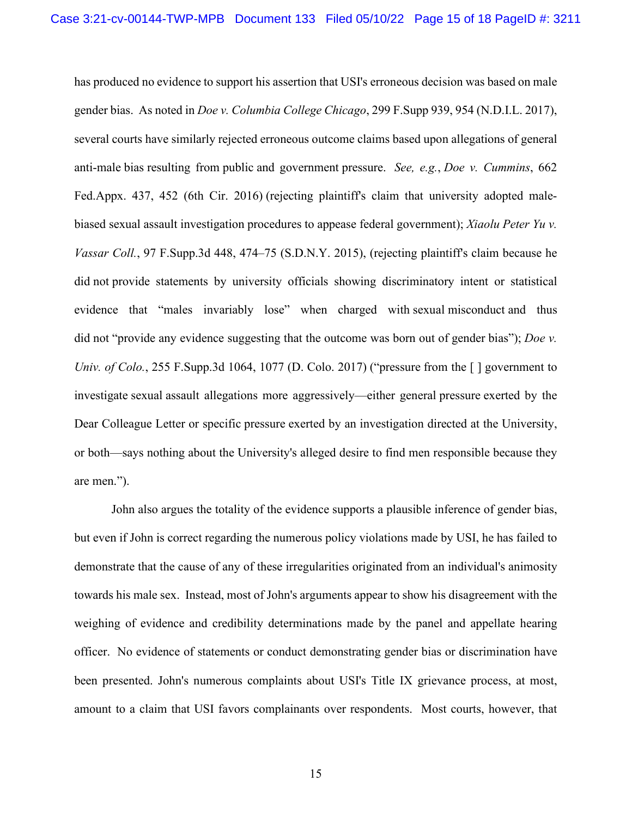has produced no evidence to support his assertion that USI's erroneous decision was based on male gender bias. As noted in *Doe v. Columbia College Chicago*, 299 F.Supp 939, 954 (N.D.I.L. 2017), several courts have similarly rejected erroneous outcome claims based upon allegations of general anti-male bias resulting from public and government pressure. *See, e.g.*, *Doe v. [Cummins](https://1.next.westlaw.com/Link/Document/FullText?findType=Y&serNum=2040461671&pubNum=0006538&originatingDoc=I814e2c00ba0b11e7a814f1ab34e02c4f&refType=RP&fi=co_pp_sp_6538_452&originationContext=document&transitionType=DocumentItem&ppcid=46c95a2b29cf4275957d59e0c45d0a6e&contextData=(sc.Search)#co_pp_sp_6538_452)*, 662 [Fed.Appx. 437, 452 \(6th](https://1.next.westlaw.com/Link/Document/FullText?findType=Y&serNum=2040461671&pubNum=0006538&originatingDoc=I814e2c00ba0b11e7a814f1ab34e02c4f&refType=RP&fi=co_pp_sp_6538_452&originationContext=document&transitionType=DocumentItem&ppcid=46c95a2b29cf4275957d59e0c45d0a6e&contextData=(sc.Search)#co_pp_sp_6538_452) Cir. 2016) (rejecting plaintiff's claim that university adopted malebiased sexual assault investigation procedures to appease federal government); *[Xiaolu Peter](https://1.next.westlaw.com/Link/Document/FullText?findType=Y&serNum=2035747704&pubNum=0007903&originatingDoc=I814e2c00ba0b11e7a814f1ab34e02c4f&refType=RP&fi=co_pp_sp_7903_474&originationContext=document&transitionType=DocumentItem&ppcid=46c95a2b29cf4275957d59e0c45d0a6e&contextData=(sc.Search)#co_pp_sp_7903_474) Yu v. Vassar Coll.*[, 97 F.Supp.3d 448, 474–75 \(S.D.N.Y. 2015\),](https://1.next.westlaw.com/Link/Document/FullText?findType=Y&serNum=2035747704&pubNum=0007903&originatingDoc=I814e2c00ba0b11e7a814f1ab34e02c4f&refType=RP&fi=co_pp_sp_7903_474&originationContext=document&transitionType=DocumentItem&ppcid=46c95a2b29cf4275957d59e0c45d0a6e&contextData=(sc.Search)#co_pp_sp_7903_474) (rejecting plaintiff's claim because he did not provide statements by university officials showing discriminatory intent or statistical evidence that "males invariably lose" when charged with sexual misconduct and thus did not "provide any evidence suggesting that the outcome was born out of gender bias"); *[Doe](https://1.next.westlaw.com/Link/Document/FullText?findType=Y&serNum=2041740365&pubNum=0007903&originatingDoc=I814e2c00ba0b11e7a814f1ab34e02c4f&refType=RP&fi=co_pp_sp_7903_1077&originationContext=document&transitionType=DocumentItem&ppcid=46c95a2b29cf4275957d59e0c45d0a6e&contextData=(sc.Search)#co_pp_sp_7903_1077) v. Univ. of Colo.*[, 255 F.Supp.3d 1064, 1077 \(D. Colo. 2017\)](https://1.next.westlaw.com/Link/Document/FullText?findType=Y&serNum=2041740365&pubNum=0007903&originatingDoc=I814e2c00ba0b11e7a814f1ab34e02c4f&refType=RP&fi=co_pp_sp_7903_1077&originationContext=document&transitionType=DocumentItem&ppcid=46c95a2b29cf4275957d59e0c45d0a6e&contextData=(sc.Search)#co_pp_sp_7903_1077) ("pressure from the  $\lceil \cdot \rceil$  government to investigate sexual assault allegations more aggressively—either general pressure exerted by the Dear Colleague Letter or specific pressure exerted by an investigation directed at the University, or both—says nothing about the University's alleged desire to find men responsible because they are men.").

John also argues the totality of the evidence supports a plausible inference of gender bias, but even if John is correct regarding the numerous policy violations made by USI, he has failed to demonstrate that the cause of any of these irregularities originated from an individual's animosity towards his male sex. Instead, most of John's arguments appear to show his disagreement with the weighing of evidence and credibility determinations made by the panel and appellate hearing officer. No evidence of statements or conduct demonstrating gender bias or discrimination have been presented. John's numerous complaints about USI's Title IX grievance process, at most, amount to a claim that USI favors complainants over respondents. Most courts, however, that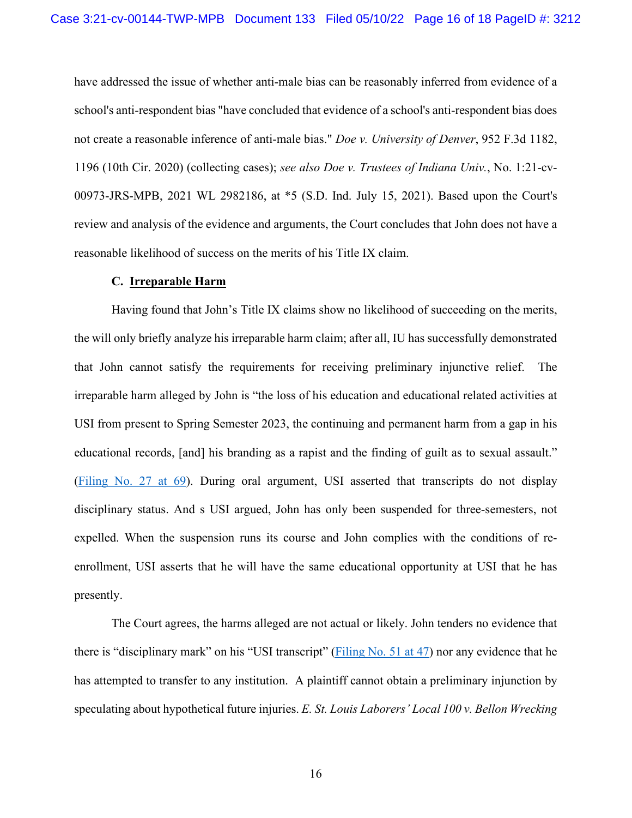have addressed the issue of whether anti-male bias can be reasonably inferred from evidence of a school's anti-respondent bias "have concluded that evidence of a school's anti-respondent bias does not create a reasonable inference of anti-male bias." *Doe v. University of Denver*, 952 F.3d 1182, 1196 (10th Cir. 2020) (collecting cases); *see also Doe v. Trustees of Indiana Univ.*, No. 1:21-cv-00973-JRS-MPB, 2021 WL 2982186, at \*5 (S.D. Ind. July 15, 2021). Based upon the Court's review and analysis of the evidence and arguments, the Court concludes that John does not have a reasonable likelihood of success on the merits of his Title IX claim.

#### **C. Irreparable Harm**

Having found that John's Title IX claims show no likelihood of succeeding on the merits, the will only briefly analyze his irreparable harm claim; after all, IU has successfully demonstrated that John cannot satisfy the requirements for receiving preliminary injunctive relief. The irreparable harm alleged by John is "the loss of his education and educational related activities at USI from present to Spring Semester 2023, the continuing and permanent harm from a gap in his educational records, [and] his branding as a rapist and the finding of guilt as to sexual assault." [\(Filing No. 27 at 69\)](https://ecf.insd.uscourts.gov/doc1/07318927575?page=69). During oral argument, USI asserted that transcripts do not display disciplinary status. And s USI argued, John has only been suspended for three-semesters, not expelled. When the suspension runs its course and John complies with the conditions of reenrollment, USI asserts that he will have the same educational opportunity at USI that he has presently.

The Court agrees, the harms alleged are not actual or likely. John tenders no evidence that there is "disciplinary mark" on his "USI transcript" [\(Filing No. 51 at 47\)](https://ecf.insd.uscourts.gov/doc1/07318932808?page=47) nor any evidence that he has attempted to transfer to any institution. A plaintiff cannot obtain a preliminary injunction by speculating about hypothetical future injuries. *E. St. Louis Laborers' Local 100 v. Bellon Wrecking*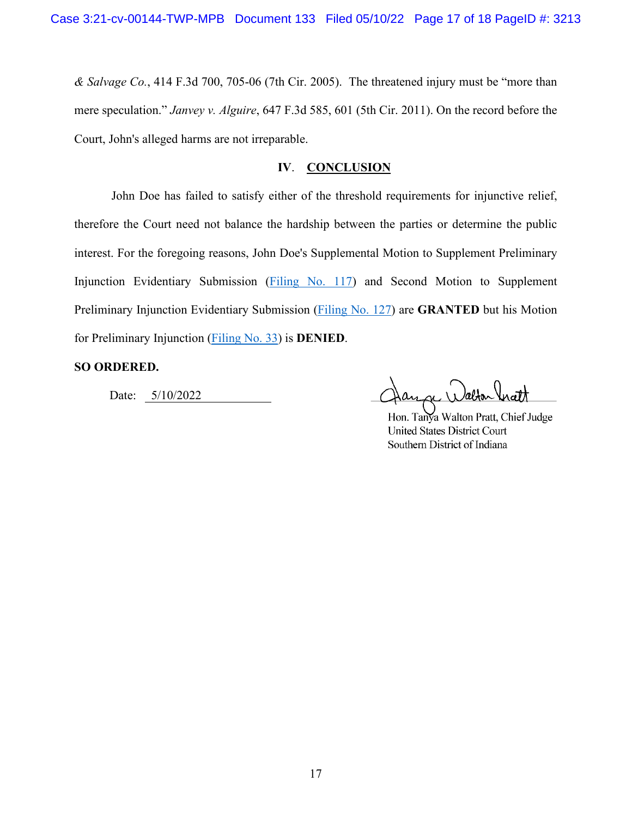*& Salvage Co.*, 414 F.3d 700, 705-06 (7th Cir. 2005). The threatened injury must be "more than mere speculation." *Janvey v. Alguire*, 647 F.3d 585, 601 (5th Cir. 2011). On the record before the Court, John's alleged harms are not irreparable.

## **IV**. **CONCLUSION**

John Doe has failed to satisfy either of the threshold requirements for injunctive relief, therefore the Court need not balance the hardship between the parties or determine the public interest. For the foregoing reasons, John Doe's Supplemental Motion to Supplement Preliminary Injunction Evidentiary Submission [\(Filing No. 117\)](https://ecf.insd.uscourts.gov/doc1/07319076466) and Second Motion to Supplement Preliminary Injunction Evidentiary Submission [\(Filing No. 127\)](https://ecf.insd.uscourts.gov/doc1/07319100317) are **GRANTED** but his Motion for Preliminary Injunction [\(Filing No. 33\)](https://ecf.insd.uscourts.gov/doc1/07318932419) is **DENIED**.

### **SO ORDERED.**

Date: 5/10/2022

Hon. Tanya Walton Pratt, Chief Judge **United States District Court** Southern District of Indiana